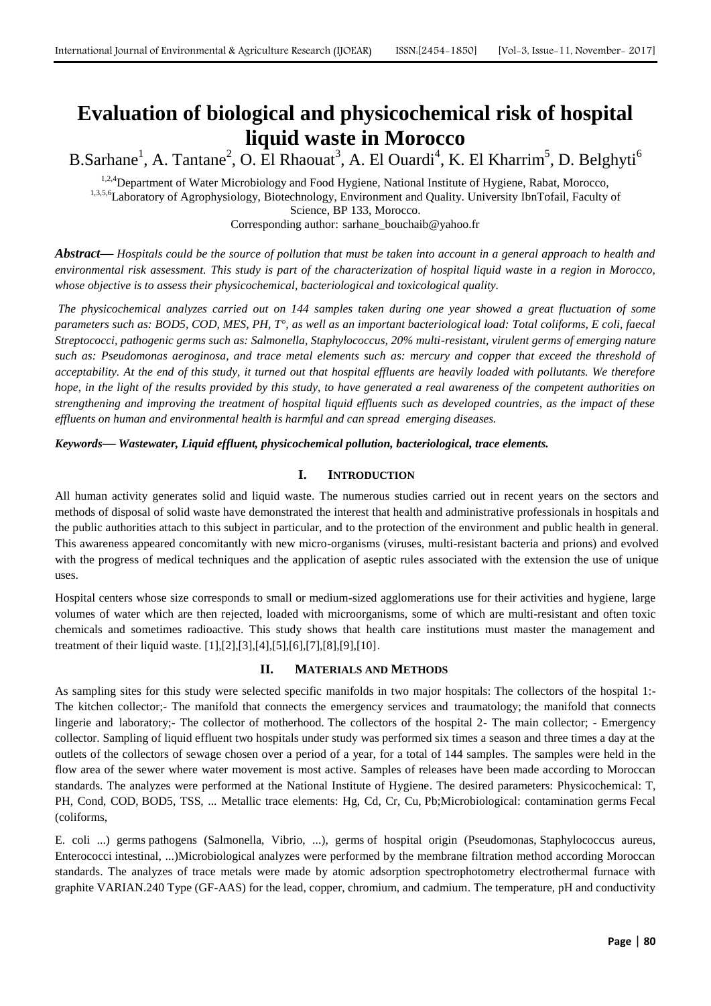# **Evaluation of biological and physicochemical risk of hospital liquid waste in Morocco**

B.Sarhane<sup>1</sup>, A. Tantane<sup>2</sup>, O. El Rhaouat<sup>3</sup>, A. El Ouardi<sup>4</sup>, K. El Kharrim<sup>5</sup>, D. Belghyti<sup>6</sup>

<sup>1,2,4</sup>Department of Water Microbiology and Food Hygiene, National Institute of Hygiene, Rabat, Morocco, 1,3,5,6Laboratory of Agrophysiology, Biotechnology, Environment and Quality. University IbnTofail, Faculty of Science, BP 133, Morocco. Corresponding author: [sarhane\\_bouchaib@yahoo.fr](mailto:sarhane_bouchaib@yahoo.fr)

*Abstract***—** *Hospitals could be the source of pollution that must be taken into account in a general approach to health and environmental risk assessment. This study is part of the characterization of hospital liquid waste in a region in Morocco, whose objective is to assess their physicochemical, bacteriological and toxicological quality.*

*The physicochemical analyzes carried out on 144 samples taken during one year showed a great fluctuation of some parameters such as: BOD5, COD, MES, PH, T°, as well as an important bacteriological load: Total coliforms, E coli, faecal Streptococci, pathogenic germs such as: Salmonella, Staphylococcus, 20% multi-resistant, virulent germs of emerging nature such as: Pseudomonas aeroginosa, and trace metal elements such as: mercury and copper that exceed the threshold of acceptability. At the end of this study, it turned out that hospital effluents are heavily loaded with pollutants. We therefore hope, in the light of the results provided by this study, to have generated a real awareness of the competent authorities on strengthening and improving the treatment of hospital liquid effluents such as developed countries, as the impact of these effluents on human and environmental health is harmful and can spread emerging diseases.*

*Keywords***—** *Wastewater, Liquid effluent, physicochemical pollution, bacteriological, trace elements.*

## **I. INTRODUCTION**

All human activity generates solid and liquid waste. The numerous studies carried out in recent years on the sectors and methods of disposal of solid waste have demonstrated the interest that health and administrative professionals in hospitals and the public authorities attach to this subject in particular, and to the protection of the environment and public health in general. This awareness appeared concomitantly with new micro-organisms (viruses, multi-resistant bacteria and prions) and evolved with the progress of medical techniques and the application of aseptic rules associated with the extension the use of unique uses.

Hospital centers whose size corresponds to small or medium-sized agglomerations use for their activities and hygiene, large volumes of water which are then rejected, loaded with microorganisms, some of which are multi-resistant and often toxic chemicals and sometimes radioactive. This study shows that health care institutions must master the management and treatment of their liquid waste. [1],[2],[3],[4],[5],[6],[7],[8],[9],[10].

## **II. MATERIALS AND METHODS**

As sampling sites for this study were selected specific manifolds in two major hospitals: The collectors of the hospital 1:- The kitchen collector;- The manifold that connects the emergency services and traumatology; the manifold that connects lingerie and laboratory;- The collector of motherhood. The collectors of the hospital 2- The main collector; - Emergency collector. Sampling of liquid effluent two hospitals under study was performed six times a season and three times a day at the outlets of the collectors of sewage chosen over a period of a year, for a total of 144 samples. The samples were held in the flow area of the sewer where water movement is most active. Samples of releases have been made according to Moroccan standards. The analyzes were performed at the National Institute of Hygiene. The desired parameters: Physicochemical: T, PH, Cond, COD, BOD5, TSS, ... Metallic trace elements: Hg, Cd, Cr, Cu, Pb;Microbiological: contamination germs Fecal (coliforms,

E. coli ...) germs pathogens (Salmonella, Vibrio, ...), germs of hospital origin (Pseudomonas, Staphylococcus aureus, Enterococci intestinal, ...)Microbiological analyzes were performed by the membrane filtration method according Moroccan standards. The analyzes of trace metals were made by atomic adsorption spectrophotometry electrothermal furnace with graphite VARIAN.240 Type (GF-AAS) for the lead, copper, chromium, and cadmium. The temperature, pH and conductivity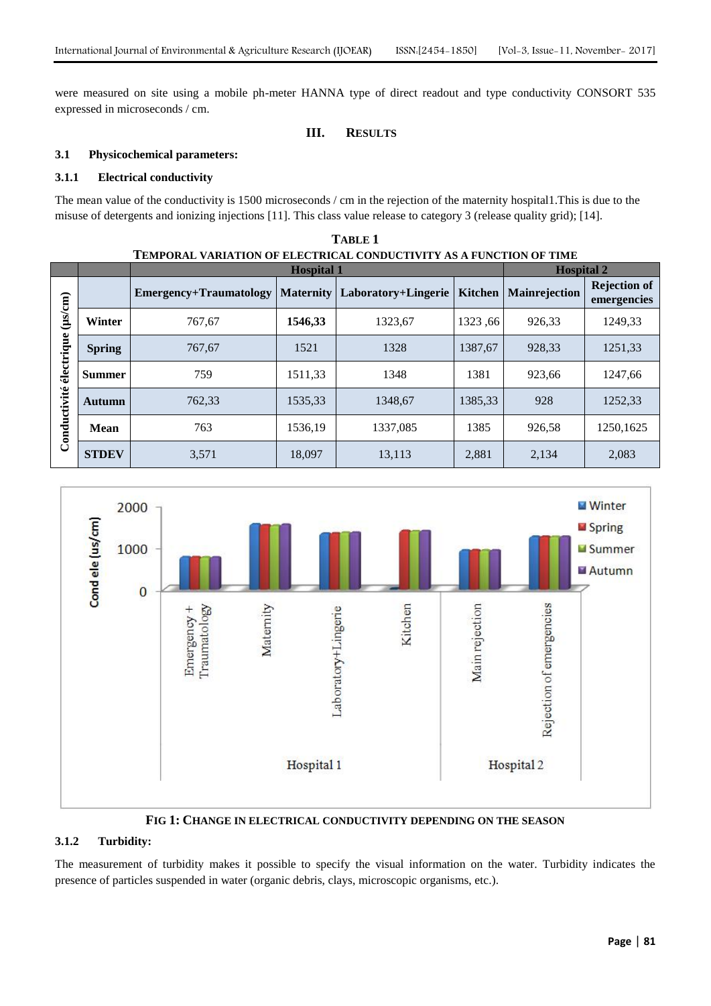were measured on site using a mobile ph-meter HANNA type of direct readout and type conductivity CONSORT 535 expressed in microseconds / cm.

## **III. RESULTS**

#### **3.1 Physicochemical parameters:**

### **3.1.1 Electrical conductivity**

The mean value of the conductivity is 1500 microseconds / cm in the rejection of the maternity hospital1.This is due to the misuse of detergents and ionizing injections [11]. This class value release to category 3 (release quality grid); [14].

**TABLE 1**

| TEMPORAL VARIATION OF ELECTRICAL CONDUCTIVITY AS A FUNCTION OF TIME |               |                        |                  |                     |                |                      |                                    |
|---------------------------------------------------------------------|---------------|------------------------|------------------|---------------------|----------------|----------------------|------------------------------------|
|                                                                     |               | <b>Hospital 1</b>      |                  |                     |                | <b>Hospital 2</b>    |                                    |
| $(\mu s/cm)$<br>électrique<br>Conductivité                          |               | Emergency+Traumatology | <b>Maternity</b> | Laboratory+Lingerie | <b>Kitchen</b> | <b>Mainrejection</b> | <b>Rejection of</b><br>emergencies |
|                                                                     | Winter        | 767,67                 | 1546,33          | 1323,67             | 1323,66        | 926,33               | 1249,33                            |
|                                                                     | <b>Spring</b> | 767,67                 | 1521             | 1328                | 1387,67        | 928,33               | 1251,33                            |
|                                                                     | <b>Summer</b> | 759                    | 1511,33          | 1348                | 1381           | 923,66               | 1247,66                            |
|                                                                     | Autumn        | 762,33                 | 1535,33          | 1348.67             | 1385,33        | 928                  | 1252,33                            |
|                                                                     | Mean          | 763                    | 1536,19          | 1337,085            | 1385           | 926,58               | 1250,1625                          |
|                                                                     | <b>STDEV</b>  | 3,571                  | 18,097           | 13,113              | 2,881          | 2,134                | 2,083                              |



**FIG 1: CHANGE IN ELECTRICAL CONDUCTIVITY DEPENDING ON THE SEASON**

## **3.1.2 Turbidity:**

The measurement of turbidity makes it possible to specify the visual information on the water. Turbidity indicates the presence of particles suspended in water (organic debris, clays, microscopic organisms, etc.).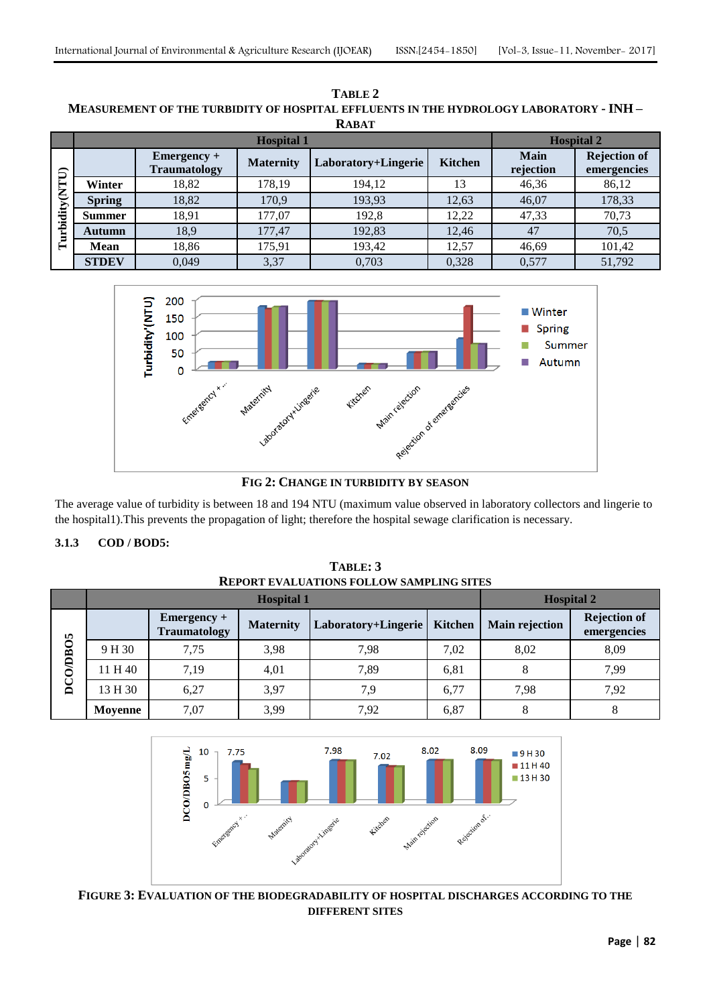| NABA 1                      |                   |                                      |                  |                     |                |                          |                                    |  |  |
|-----------------------------|-------------------|--------------------------------------|------------------|---------------------|----------------|--------------------------|------------------------------------|--|--|
|                             | <b>Hospital 1</b> |                                      |                  |                     |                | <b>Hospital 2</b>        |                                    |  |  |
| <b>CLLN</b><br>rbidity<br>름 |                   | $Emergency +$<br><b>Traumatology</b> | <b>Maternity</b> | Laboratory+Lingerie | <b>Kitchen</b> | <b>Main</b><br>rejection | <b>Rejection of</b><br>emergencies |  |  |
|                             | Winter            | 18,82                                | 178,19           | 194.12              | 13             | 46,36                    | 86,12                              |  |  |
|                             | <b>Spring</b>     | 18,82                                | 170,9            | 193,93              | 12,63          | 46,07                    | 178,33                             |  |  |
|                             | <b>Summer</b>     | 18,91                                | 177,07           | 192,8               | 12,22          | 47,33                    | 70,73                              |  |  |
|                             | Autumn            | 18,9                                 | 177,47           | 192,83              | 12,46          | 47                       | 70,5                               |  |  |
|                             | <b>Mean</b>       | 18,86                                | 175,91           | 193,42              | 12,57          | 46,69                    | 101,42                             |  |  |
|                             | <b>STDEV</b>      | 0.049                                | 3,37             | 0,703               | 0,328          | 0,577                    | 51,792                             |  |  |

**TABLE 2 MEASUREMENT OF THE TURBIDITY OF HOSPITAL EFFLUENTS IN THE HYDROLOGY LABORATORY - INH – RABAT**



The average value of turbidity is between 18 and 194 NTU (maximum value observed in laboratory collectors and lingerie to the hospital1).This prevents the propagation of light; therefore the hospital sewage clarification is necessary.

**TABLE: 3**

## **3.1.3 COD / BOD5:**

| <b>REPORT EVALUATIONS FOLLOW SAMPLING SITES</b> |                   |                                      |                  |                     |                   |                       |                                    |
|-------------------------------------------------|-------------------|--------------------------------------|------------------|---------------------|-------------------|-----------------------|------------------------------------|
|                                                 | <b>Hospital 1</b> |                                      |                  |                     | <b>Hospital 2</b> |                       |                                    |
| <b>DCO/DBO5</b>                                 |                   | $Emergency +$<br><b>Traumatology</b> | <b>Maternity</b> | Laboratory+Lingerie | <b>Kitchen</b>    | <b>Main rejection</b> | <b>Rejection of</b><br>emergencies |
|                                                 | 9 H 30            | 7.75                                 | 3,98             | 7.98                | 7.02              | 8,02                  | 8,09                               |
|                                                 | 11 H 40           | 7,19                                 | 4,01             | 7.89                | 6,81              | 8                     | 7,99                               |
|                                                 | 13 H 30           | 6,27                                 | 3,97             | 7.9                 | 6.77              | 7.98                  | 7,92                               |
|                                                 | Movenne           | 7,07                                 | 3,99             | 7,92                | 6,87              |                       |                                    |



**FIGURE 3: EVALUATION OF THE BIODEGRADABILITY OF HOSPITAL DISCHARGES ACCORDING TO THE DIFFERENT SITES**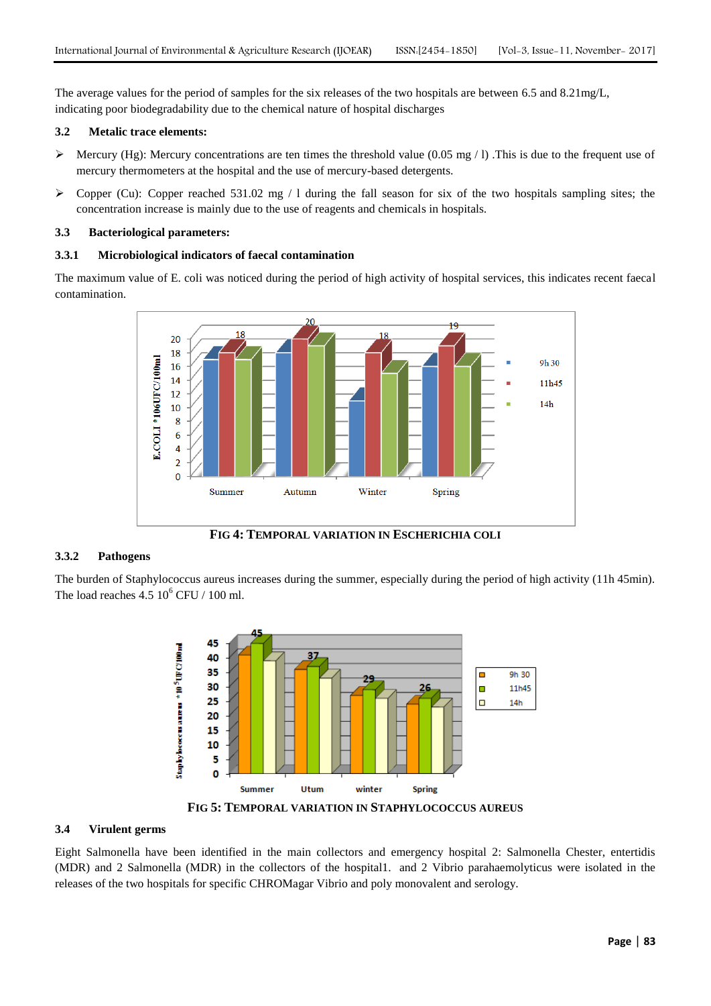The average values for the period of samples for the six releases of the two hospitals are between 6.5 and 8.21mg/L, indicating poor biodegradability due to the chemical nature of hospital discharges

#### **3.2 Metalic trace elements:**

- Mercury (Hg): Mercury concentrations are ten times the threshold value (0.05 mg / 1). This is due to the frequent use of mercury thermometers at the hospital and the use of mercury-based detergents.
- $\triangleright$  Copper (Cu): Copper reached 531.02 mg / 1 during the fall season for six of the two hospitals sampling sites; the concentration increase is mainly due to the use of reagents and chemicals in hospitals.

#### **3.3 Bacteriological parameters:**

#### **3.3.1 Microbiological indicators of faecal contamination**

The maximum value of E. coli was noticed during the period of high activity of hospital services, this indicates recent faecal contamination.



**FIG 4: TEMPORAL VARIATION IN ESCHERICHIA COLI**

### **3.3.2 Pathogens**

The burden of Staphylococcus aureus increases during the summer, especially during the period of high activity (11h 45min). The load reaches  $4.5 10^6$  CFU / 100 ml.



**FIG 5: TEMPORAL VARIATION IN STAPHYLOCOCCUS AUREUS**

## **3.4 Virulent germs**

Eight Salmonella have been identified in the main collectors and emergency hospital 2: Salmonella Chester, entertidis (MDR) and 2 Salmonella (MDR) in the collectors of the hospital1. and 2 Vibrio parahaemolyticus were isolated in the releases of the two hospitals for specific CHROMagar Vibrio and poly monovalent and serology.